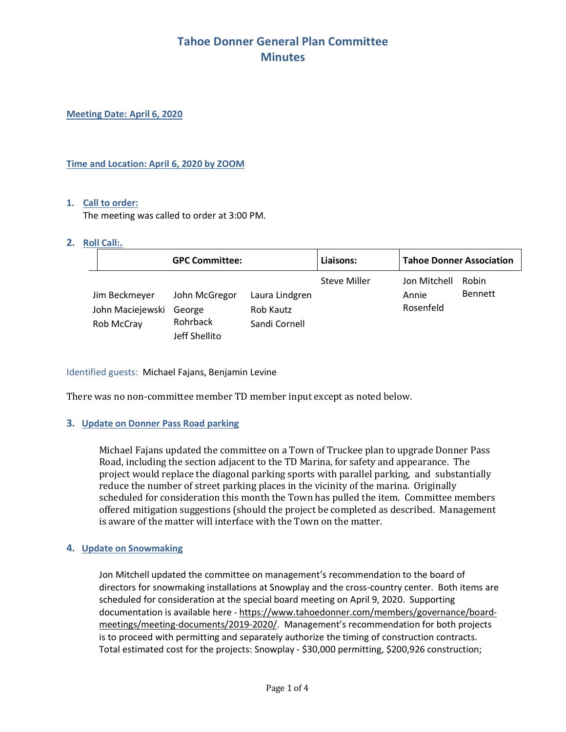**Meeting Date: April 6, 2020**

### **Time and Location: April 6, 2020 by ZOOM**

#### **1. Call to order:**

The meeting was called to order at 3:00 PM.

#### **2. Roll Call:.**

| <b>GPC Committee:</b>                           |                                                      |                                              | Liaisons:    | <b>Tahoe Donner Association</b>    |                         |
|-------------------------------------------------|------------------------------------------------------|----------------------------------------------|--------------|------------------------------------|-------------------------|
| Jim Beckmeyer<br>John Maciejewski<br>Rob McCray | John McGregor<br>George<br>Rohrback<br>Jeff Shellito | Laura Lindgren<br>Rob Kautz<br>Sandi Cornell | Steve Miller | Jon Mitchell<br>Annie<br>Rosenfeld | Robin<br><b>Bennett</b> |

## Identified guests: Michael Fajans, Benjamin Levine

There was no non-committee member TD member input except as noted below.

## **3. Update on Donner Pass Road parking**

Michael Fajans updated the committee on a Town of Truckee plan to upgrade Donner Pass Road, including the section adjacent to the TD Marina, for safety and appearance. The project would replace the diagonal parking sports with parallel parking, and substantially reduce the number of street parking places in the vicinity of the marina. Originally scheduled for consideration this month the Town has pulled the item. Committee members offered mitigation suggestions (should the project be completed as described. Management is aware of the matter will interface with the Town on the matter.

## **4. Update on Snowmaking**

Jon Mitchell updated the committee on management's recommendation to the board of directors for snowmaking installations at Snowplay and the cross-country center. Both items are scheduled for consideration at the special board meeting on April 9, 2020. Supporting documentation is available here - https://www.tahoedonner.com/members/governance/boardmeetings/meeting-documents/2019-2020/. Management's recommendation for both projects is to proceed with permitting and separately authorize the timing of construction contracts. Total estimated cost for the projects: Snowplay - \$30,000 permitting, \$200,926 construction;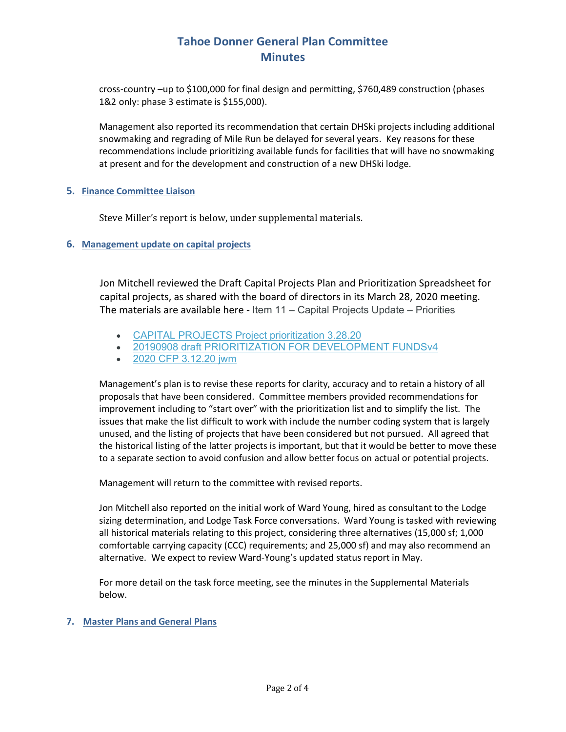cross-country –up to \$100,000 for final design and permitting, \$760,489 construction (phases 1&2 only: phase 3 estimate is \$155,000).

Management also reported its recommendation that certain DHSki projects including additional snowmaking and regrading of Mile Run be delayed for several years. Key reasons for these recommendations include prioritizing available funds for facilities that will have no snowmaking at present and for the development and construction of a new DHSki lodge.

## **5. Finance Committee Liaison**

Steve Miller's report is below, under supplemental materials.

## **6. Management update on capital projects**

Jon Mitchell reviewed the Draft Capital Projects Plan and Prioritization Spreadsheet for capital projects, as shared with the board of directors in its March 28, 2020 meeting. The materials are available here - Item 11 – Capital Projects Update – Priorities

- CAPITAL PROJECTS Project prioritization 3.28.20
- 20190908 draft PRIORITIZATION FOR DEVELOPMENT FUNDSv4
- 2020 CFP 3.12.20 jwm

Management's plan is to revise these reports for clarity, accuracy and to retain a history of all proposals that have been considered. Committee members provided recommendations for improvement including to "start over" with the prioritization list and to simplify the list. The issues that make the list difficult to work with include the number coding system that is largely unused, and the listing of projects that have been considered but not pursued. All agreed that the historical listing of the latter projects is important, but that it would be better to move these to a separate section to avoid confusion and allow better focus on actual or potential projects.

Management will return to the committee with revised reports.

Jon Mitchell also reported on the initial work of Ward Young, hired as consultant to the Lodge sizing determination, and Lodge Task Force conversations. Ward Young is tasked with reviewing all historical materials relating to this project, considering three alternatives (15,000 sf; 1,000 comfortable carrying capacity (CCC) requirements; and 25,000 sf) and may also recommend an alternative. We expect to review Ward-Young's updated status report in May.

For more detail on the task force meeting, see the minutes in the Supplemental Materials below.

## **7. Master Plans and General Plans**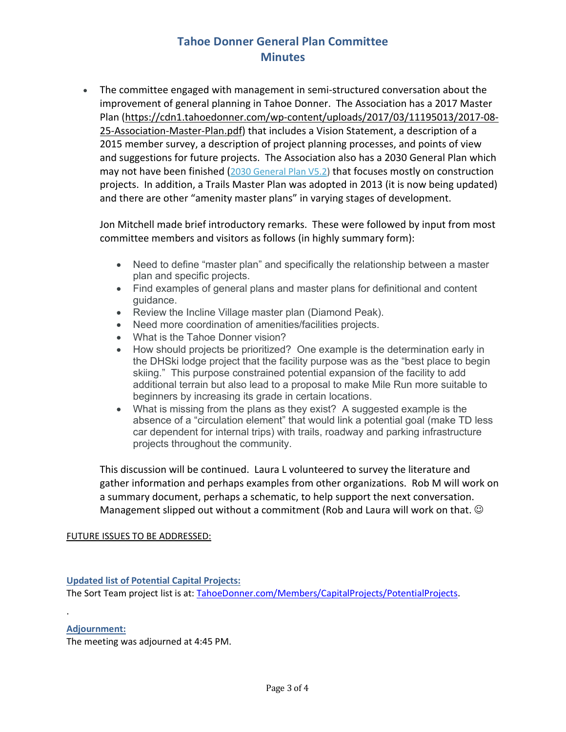• The committee engaged with management in semi-structured conversation about the improvement of general planning in Tahoe Donner. The Association has a 2017 Master Plan (https://cdn1.tahoedonner.com/wp-content/uploads/2017/03/11195013/2017-08- 25-Association-Master-Plan.pdf) that includes a Vision Statement, a description of a 2015 member survey, a description of project planning processes, and points of view and suggestions for future projects. The Association also has a 2030 General Plan which may not have been finished (2030 General Plan V5.2) that focuses mostly on construction projects. In addition, a Trails Master Plan was adopted in 2013 (it is now being updated) and there are other "amenity master plans" in varying stages of development.

Jon Mitchell made brief introductory remarks. These were followed by input from most committee members and visitors as follows (in highly summary form):

- Need to define "master plan" and specifically the relationship between a master plan and specific projects.
- Find examples of general plans and master plans for definitional and content guidance.
- Review the Incline Village master plan (Diamond Peak).
- Need more coordination of amenities/facilities projects.
- What is the Tahoe Donner vision?
- How should projects be prioritized? One example is the determination early in the DHSki lodge project that the facility purpose was as the "best place to begin skiing." This purpose constrained potential expansion of the facility to add additional terrain but also lead to a proposal to make Mile Run more suitable to beginners by increasing its grade in certain locations.
- What is missing from the plans as they exist? A suggested example is the absence of a "circulation element" that would link a potential goal (make TD less car dependent for internal trips) with trails, roadway and parking infrastructure projects throughout the community.

This discussion will be continued. Laura L volunteered to survey the literature and gather information and perhaps examples from other organizations. Rob M will work on a summary document, perhaps a schematic, to help support the next conversation. Management slipped out without a commitment (Rob and Laura will work on that.  $\odot$ 

## FUTURE ISSUES TO BE ADDRESSED:

**Updated list of Potential Capital Projects:** The Sort Team project list is at: TahoeDonner.com/Members/CapitalProjects/PotentialProjects.

## **Adjournment:**

.

The meeting was adjourned at 4:45 PM.